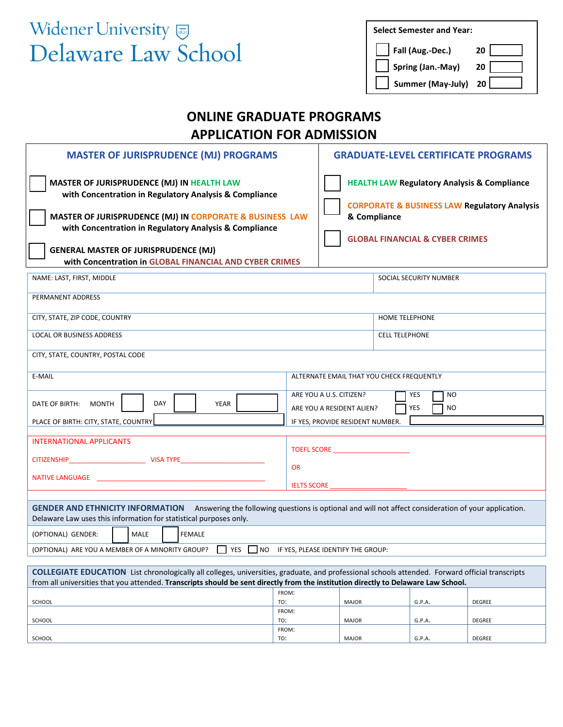## Widener University Delaware Law School

| <b>Select Semester and Year:</b> |
|----------------------------------|
|----------------------------------|

| Fall (Aug.-Dec.)                   | 20              |
|------------------------------------|-----------------|
| Spring (Jan.-May)                  | 20 <sup>1</sup> |
| $\Box$ Summer (May-July) 20 $\Box$ |                 |

## **ONLINE GRADUATE PROGRAMS APPLICATION FOR ADMISSION**

| <b>MASTER OF JURISPRUDENCE (MJ) PROGRAMS</b><br><b>GRADUATE-LEVEL CERTIFICATE PROGRAMS</b>                                                                                                                                                                                                                                           |                                                                                                                                                                                 |                                                                                              |                        |        |  |  |  |
|--------------------------------------------------------------------------------------------------------------------------------------------------------------------------------------------------------------------------------------------------------------------------------------------------------------------------------------|---------------------------------------------------------------------------------------------------------------------------------------------------------------------------------|----------------------------------------------------------------------------------------------|------------------------|--------|--|--|--|
| MASTER OF JURISPRUDENCE (MJ) IN HEALTH LAW<br>with Concentration in Regulatory Analysis & Compliance<br>MASTER OF JURISPRUDENCE (MJ) IN CORPORATE & BUSINESS LAW<br>with Concentration in Regulatory Analysis & Compliance<br><b>GENERAL MASTER OF JURISPRUDENCE (MJ)</b><br>with Concentration in GLOBAL FINANCIAL AND CYBER CRIMES | <b>HEALTH LAW Regulatory Analysis &amp; Compliance</b><br><b>CORPORATE &amp; BUSINESS LAW Regulatory Analysis</b><br>& Compliance<br><b>GLOBAL FINANCIAL &amp; CYBER CRIMES</b> |                                                                                              |                        |        |  |  |  |
| NAME: LAST, FIRST, MIDDLE                                                                                                                                                                                                                                                                                                            |                                                                                                                                                                                 |                                                                                              | SOCIAL SECURITY NUMBER |        |  |  |  |
| PERMANENT ADDRESS                                                                                                                                                                                                                                                                                                                    |                                                                                                                                                                                 |                                                                                              |                        |        |  |  |  |
| CITY, STATE, ZIP CODE, COUNTRY                                                                                                                                                                                                                                                                                                       |                                                                                                                                                                                 |                                                                                              | HOME TELEPHONE         |        |  |  |  |
| <b>LOCAL OR BUSINESS ADDRESS</b>                                                                                                                                                                                                                                                                                                     |                                                                                                                                                                                 |                                                                                              | <b>CELL TELEPHONE</b>  |        |  |  |  |
| CITY, STATE, COUNTRY, POSTAL CODE                                                                                                                                                                                                                                                                                                    |                                                                                                                                                                                 |                                                                                              |                        |        |  |  |  |
| E-MAIL<br>ALTERNATE EMAIL THAT YOU CHECK FREQUENTLY                                                                                                                                                                                                                                                                                  |                                                                                                                                                                                 |                                                                                              |                        |        |  |  |  |
| DATE OF BIRTH: MONTH<br><b>DAY</b><br>YEAR<br>PLACE OF BIRTH: CITY, STATE, COUNTRY                                                                                                                                                                                                                                                   |                                                                                                                                                                                 | ARE YOU A U.S. CITIZEN?<br><b>NO</b><br>YES<br><b>YES</b><br>ARE YOU A RESIDENT ALIEN?<br>NO |                        |        |  |  |  |
| IF YES, PROVIDE RESIDENT NUMBER.                                                                                                                                                                                                                                                                                                     |                                                                                                                                                                                 |                                                                                              |                        |        |  |  |  |
| <b>INTERNATIONAL APPLICANTS</b><br><b>TOEFL SCORE SCORE</b>                                                                                                                                                                                                                                                                          |                                                                                                                                                                                 |                                                                                              |                        |        |  |  |  |
|                                                                                                                                                                                                                                                                                                                                      | <b>OR</b>                                                                                                                                                                       |                                                                                              |                        |        |  |  |  |
| NATIVE LANGUAGE AND THE STATE OF THE STATE OF THE STATE OF THE STATE OF THE STATE OF THE STATE OF THE STATE OF<br><b>IELTS SCORE</b>                                                                                                                                                                                                 |                                                                                                                                                                                 |                                                                                              |                        |        |  |  |  |
| Answering the following questions is optional and will not affect consideration of your application.<br><b>GENDER AND ETHNICITY INFORMATION</b><br>Delaware Law uses this information for statistical purposes only.                                                                                                                 |                                                                                                                                                                                 |                                                                                              |                        |        |  |  |  |
| (OPTIONAL) GENDER:<br>MALE<br><b>FEMALE</b>                                                                                                                                                                                                                                                                                          |                                                                                                                                                                                 |                                                                                              |                        |        |  |  |  |
| (OPTIONAL) ARE YOU A MEMBER OF A MINORITY GROUP?<br>$ $   YES  <br>NO IF YES, PLEASE IDENTIFY THE GROUP:                                                                                                                                                                                                                             |                                                                                                                                                                                 |                                                                                              |                        |        |  |  |  |
| <b>COLLEGIATE EDUCATION</b> List chronologically all colleges, universities, graduate, and professional schools attended. Forward official transcripts<br>from all universities that you attended. Transcripts should be sent directly from the institution directly to Delaware Law School.                                         |                                                                                                                                                                                 |                                                                                              |                        |        |  |  |  |
| SCHOOL                                                                                                                                                                                                                                                                                                                               | FROM:<br>TO:                                                                                                                                                                    | MAJOR                                                                                        | G.P.A.                 | DEGREE |  |  |  |
| SCHOOL                                                                                                                                                                                                                                                                                                                               | FROM:<br>TO:                                                                                                                                                                    | MAJOR                                                                                        | G.P.A.                 | DEGREE |  |  |  |
| SCHOOL                                                                                                                                                                                                                                                                                                                               | FROM:<br>TO:                                                                                                                                                                    | MAJOR                                                                                        | G.P.A.                 | DEGREE |  |  |  |